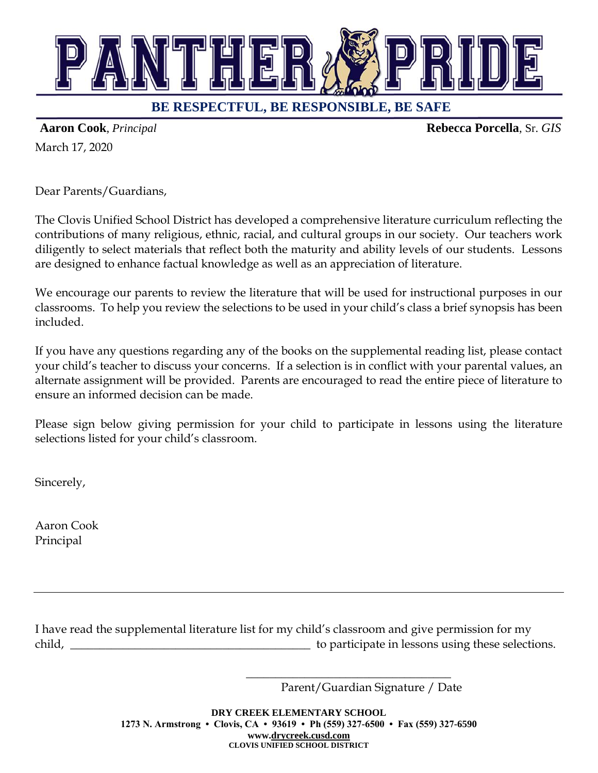

## **BE RESPECTFUL, BE RESPONSIBLE, BE SAFE**

March 17, 2020

**Aaron Cook**, *Principal* **Rebecca Porcella**, Sr. *GIS*

Dear Parents/Guardians,

The Clovis Unified School District has developed a comprehensive literature curriculum reflecting the contributions of many religious, ethnic, racial, and cultural groups in our society. Our teachers work diligently to select materials that reflect both the maturity and ability levels of our students. Lessons are designed to enhance factual knowledge as well as an appreciation of literature.

We encourage our parents to review the literature that will be used for instructional purposes in our classrooms. To help you review the selections to be used in your child's class a brief synopsis has been included.

If you have any questions regarding any of the books on the supplemental reading list, please contact your child's teacher to discuss your concerns. If a selection is in conflict with your parental values, an alternate assignment will be provided. Parents are encouraged to read the entire piece of literature to ensure an informed decision can be made.

Please sign below giving permission for your child to participate in lessons using the literature selections listed for your child's classroom.

Sincerely,

Aaron Cook Principal

I have read the supplemental literature list for my child's classroom and give permission for my child, \_\_\_\_\_\_\_\_\_\_\_\_\_\_\_\_\_\_\_\_\_\_\_\_\_\_\_\_\_\_\_\_\_\_\_\_\_\_\_\_\_ to participate in lessons using these selections.

Parent/Guardian Signature / Date

\_\_\_\_\_\_\_\_\_\_\_\_\_\_\_\_\_\_\_\_\_\_\_\_\_\_\_\_\_\_\_\_\_\_\_

**DRY CREEK ELEMENTARY SCHOOL 1273 N. Armstrong • Clovis, CA • 93619 • Ph (559) 327-6500 • Fax (559) 327-6590 www[.drycreek.cusd.com](http://drycreek.cusd.com/) CLOVIS UNIFIED SCHOOL DISTRICT**